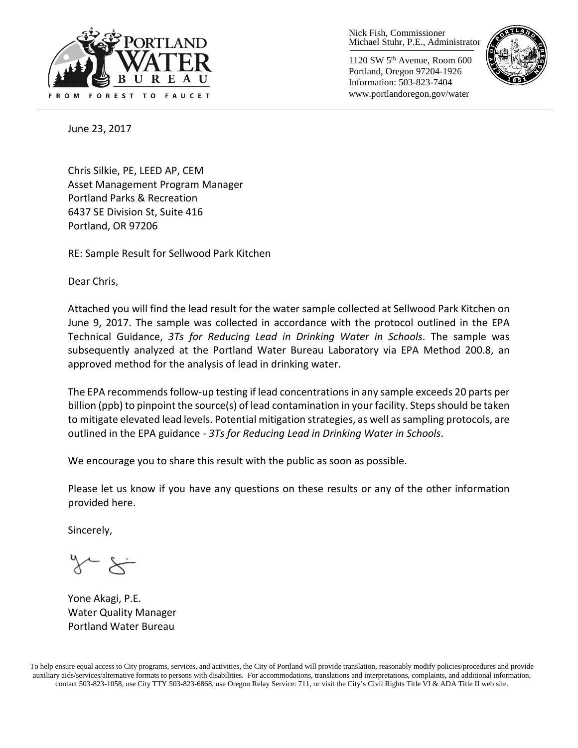

Nick Fish, Commissioner Michael Stuhr, P.E., Administrator

1120 SW 5th Avenue, Room 600 Portland, Oregon 97204-1926 Information: 503-823-7404 www.portlandoregon.gov/water



June 23, 2017

Chris Silkie, PE, LEED AP, CEM Asset Management Program Manager Portland Parks & Recreation 6437 SE Division St, Suite 416 Portland, OR 97206

RE: Sample Result for Sellwood Park Kitchen

Dear Chris,

Attached you will find the lead result for the water sample collected at Sellwood Park Kitchen on June 9, 2017. The sample was collected in accordance with the protocol outlined in the EPA Technical Guidance, *3Ts for Reducing Lead in Drinking Water in Schools*. The sample was subsequently analyzed at the Portland Water Bureau Laboratory via EPA Method 200.8, an approved method for the analysis of lead in drinking water.

The EPA recommends follow-up testing if lead concentrations in any sample exceeds 20 parts per billion (ppb) to pinpoint the source(s) of lead contamination in your facility. Steps should be taken to mitigate elevated lead levels. Potential mitigation strategies, as well as sampling protocols, are outlined in the EPA guidance - *3Ts for Reducing Lead in Drinking Water in Schools*.

We encourage you to share this result with the public as soon as possible.

Please let us know if you have any questions on these results or any of the other information provided here.

Sincerely,

Yone Akagi, P.E. Water Quality Manager Portland Water Bureau

To help ensure equal access to City programs, services, and activities, the City of Portland will provide translation, reasonably modify policies/procedures and provide auxiliary aids/services/alternative formats to persons with disabilities. For accommodations, translations and interpretations, complaints, and additional information, contact 503-823-1058, use City TTY 503-823-6868, use Oregon Relay Service: 711, or visi[t the City's Civil Rights Title VI & ADA Title II web site.](http://www.portlandoregon.gov/oehr/66458)